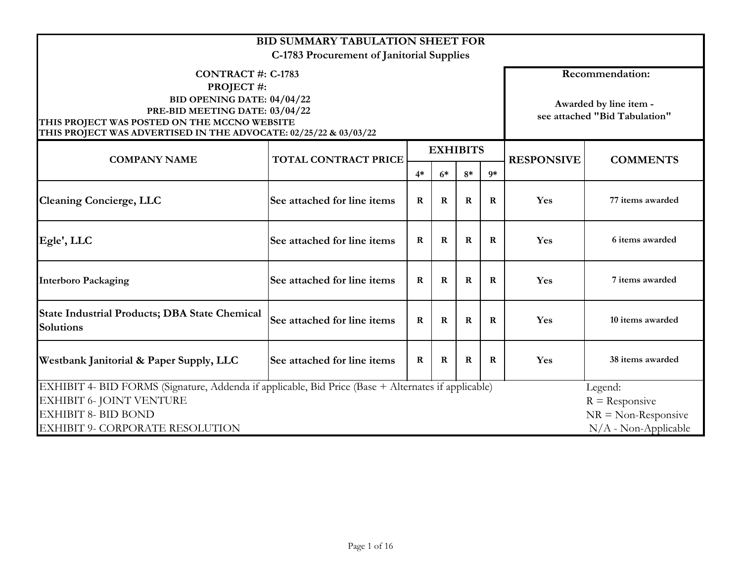| <b>BID SUMMARY TABULATION SHEET FOR</b><br>C-1783 Procurement of Janitorial Supplies                                                                                                                                       |                                                                                                    |             |                 |              |          |                   |                                                                            |  |  |  |  |  |
|----------------------------------------------------------------------------------------------------------------------------------------------------------------------------------------------------------------------------|----------------------------------------------------------------------------------------------------|-------------|-----------------|--------------|----------|-------------------|----------------------------------------------------------------------------|--|--|--|--|--|
| <b>CONTRACT #: C-1783</b><br>PROJECT#:<br>BID OPENING DATE: 04/04/22<br>PRE-BID MEETING DATE: 03/04/22<br>THIS PROJECT WAS POSTED ON THE MCCNO WEBSITE<br>THIS PROJECT WAS ADVERTISED IN THE ADVOCATE: 02/25/22 & 03/03/22 |                                                                                                    |             |                 |              |          |                   | Recommendation:<br>Awarded by line item -<br>see attached "Bid Tabulation" |  |  |  |  |  |
| <b>COMPANY NAME</b>                                                                                                                                                                                                        | <b>TOTAL CONTRACT PRICE</b>                                                                        |             | <b>EXHIBITS</b> |              |          | <b>RESPONSIVE</b> | <b>COMMENTS</b>                                                            |  |  |  |  |  |
|                                                                                                                                                                                                                            |                                                                                                    | $4*$        | $6*$            | $8*$         | $9*$     |                   |                                                                            |  |  |  |  |  |
| <b>Cleaning Concierge, LLC</b>                                                                                                                                                                                             | See attached for line items<br>$\mathbf R$<br>77 items awarded<br>$\bf{R}$<br>$\bf{R}$<br>Yes<br>R |             |                 |              |          |                   |                                                                            |  |  |  |  |  |
| Egle', LLC                                                                                                                                                                                                                 | See attached for line items                                                                        | $\mathbf R$ | $\bf{R}$        | $\bf R$      | $\bf{R}$ | Yes               | 6 items awarded                                                            |  |  |  |  |  |
| <b>Interboro Packaging</b>                                                                                                                                                                                                 | See attached for line items                                                                        | $\bf{R}$    | $\bf{R}$        | $\bf{R}$     | R        | Yes               | 7 items awarded                                                            |  |  |  |  |  |
| <b>State Industrial Products; DBA State Chemical</b><br><b>Solutions</b>                                                                                                                                                   | See attached for line items                                                                        | $\bf{R}$    | $\mathbf R$     | $\mathbf{R}$ | R        | Yes               | 10 items awarded                                                           |  |  |  |  |  |
| See attached for line items<br>Yes<br>38 items awarded<br>Westbank Janitorial & Paper Supply, LLC<br>$\bf{R}$<br>$\bf{R}$<br>R<br>R                                                                                        |                                                                                                    |             |                 |              |          |                   |                                                                            |  |  |  |  |  |
| EXHIBIT 4- BID FORMS (Signature, Addenda if applicable, Bid Price (Base + Alternates if applicable)                                                                                                                        |                                                                                                    |             |                 |              |          |                   | Legend:                                                                    |  |  |  |  |  |
| EXHIBIT 6- JOINT VENTURE<br><b>EXHIBIT 8- BID BOND</b>                                                                                                                                                                     |                                                                                                    |             |                 |              |          |                   | $R =$ Responsive                                                           |  |  |  |  |  |
| $NR = Non-Response$<br>$N/A$ - Non-Applicable<br>EXHIBIT 9- CORPORATE RESOLUTION                                                                                                                                           |                                                                                                    |             |                 |              |          |                   |                                                                            |  |  |  |  |  |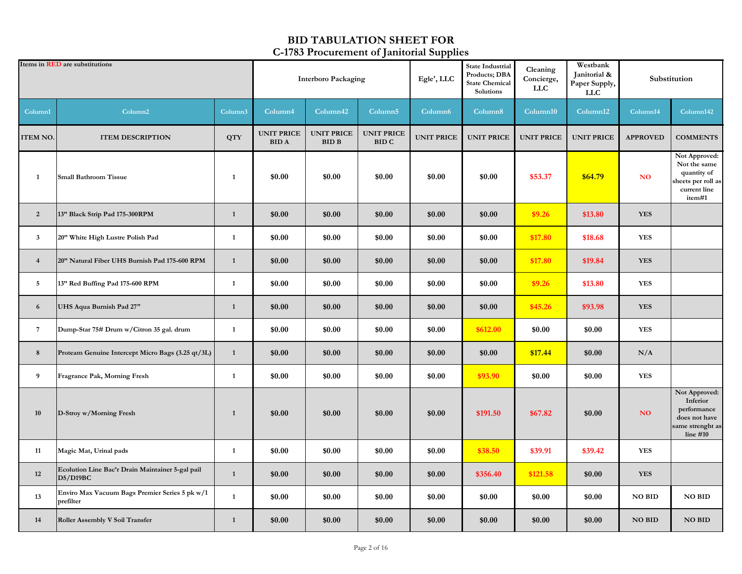|                 | Items in <b>RED</b> are substitutions                        |              | <b>Interboro Packaging</b>       |                                   |                                   | Egle', LLC          | <b>State Industrial</b><br>Products; DBA<br><b>State Chemical</b><br>Solutions | Cleaning<br>Concierge,<br>LLC | Westbank<br>Janitorial &<br>Paper Supply,<br><b>LLC</b> |                 | Substitution                                                                                 |
|-----------------|--------------------------------------------------------------|--------------|----------------------------------|-----------------------------------|-----------------------------------|---------------------|--------------------------------------------------------------------------------|-------------------------------|---------------------------------------------------------|-----------------|----------------------------------------------------------------------------------------------|
| Column1         | Column <sub>2</sub>                                          | Column3      | Column4                          | Column <sub>42</sub>              | Column <sub>5</sub>               | Column <sub>6</sub> | Column8                                                                        | Column10                      | Column12                                                | Column14        | Column142                                                                                    |
| ITEM NO.        | <b>ITEM DESCRIPTION</b>                                      | <b>QTY</b>   | <b>UNIT PRICE</b><br><b>BIDA</b> | <b>UNIT PRICE</b><br><b>BID B</b> | <b>UNIT PRICE</b><br><b>BID C</b> | <b>UNIT PRICE</b>   | <b>UNIT PRICE</b>                                                              | <b>UNIT PRICE</b>             | <b>UNIT PRICE</b>                                       | <b>APPROVED</b> | <b>COMMENTS</b>                                                                              |
| $\mathbf{1}$    | <b>Small Bathroom Tissue</b>                                 | $\mathbf{1}$ | \$0.00                           | \$0.00                            | \$0.00                            | \$0.00              | \$0.00                                                                         | \$53.37                       | \$64.79                                                 | NO.             | Not Approved:<br>Not the same<br>quantity of<br>sheets per roll as<br>current line<br>item#1 |
| $\overline{2}$  | 13" Black Strip Pad 175-300RPM                               | $\mathbf{1}$ | \$0.00                           | \$0.00                            | \$0.00                            | \$0.00              | \$0.00                                                                         | \$9.26                        | \$13.80                                                 | <b>YES</b>      |                                                                                              |
| $\mathbf{3}$    | 20" White High Lustre Polish Pad                             | $\mathbf{1}$ | \$0.00                           | \$0.00                            | \$0.00                            | \$0.00              | \$0.00                                                                         | \$17.80                       | \$18.68                                                 | <b>YES</b>      |                                                                                              |
| $\overline{4}$  | 20" Natural Fiber UHS Burnish Pad 175-600 RPM                | $\mathbf{1}$ | \$0.00                           | \$0.00                            | \$0.00                            | \$0.00              | \$0.00                                                                         | \$17.80                       | \$19.84                                                 | <b>YES</b>      |                                                                                              |
| $5\overline{5}$ | 13" Red Buffing Pad 175-600 RPM                              | $\mathbf{1}$ | \$0.00                           | \$0.00                            | \$0.00                            | \$0.00              | \$0.00                                                                         | \$9.26                        | \$13.80                                                 | <b>YES</b>      |                                                                                              |
| 6               | UHS Aqua Burnish Pad 27"                                     | $\mathbf{1}$ | \$0.00                           | \$0.00                            | \$0.00                            | \$0.00              | \$0.00                                                                         | \$45.26                       | \$93.98                                                 | <b>YES</b>      |                                                                                              |
| 7               | Dump-Star 75# Drum w/Citron 35 gal. drum                     | 1            | \$0.00                           | \$0.00                            | \$0.00                            | \$0.00              | \$612.00                                                                       | \$0.00                        | \$0.00                                                  | <b>YES</b>      |                                                                                              |
| 8               | Proteam Genuine Intercept Micro Bags (3.25 qt/3L)            | $\mathbf{1}$ | \$0.00                           | \$0.00                            | \$0.00                            | \$0.00              | \$0.00                                                                         | \$17.44                       | \$0.00                                                  | N/A             |                                                                                              |
| 9               | Fragrance Pak, Morning Fresh                                 | $\mathbf{1}$ | \$0.00                           | \$0.00                            | \$0.00                            | \$0.00              | \$93.90                                                                        | \$0.00                        | \$0.00                                                  | <b>YES</b>      |                                                                                              |
| 10              | D-Stroy w/Morning Fresh                                      | $\mathbf{1}$ | \$0.00                           | \$0.00                            | \$0.00                            | \$0.00              | \$191.50                                                                       | \$67.82                       | \$0.00                                                  | NO              | Not Approved:<br>Inferior<br>performance<br>does not have<br>same strenght as<br>line $#10$  |
| 11              | Magic Mat, Urinal pads                                       | 1            | \$0.00                           | \$0.00                            | \$0.00                            | \$0.00              | \$38.50                                                                        | \$39.91                       | \$39.42                                                 | <b>YES</b>      |                                                                                              |
| 12              | Ecolution Line Bac'r Drain Maintainer 5-gal pail<br>D5/D19BC | $\mathbf{1}$ | \$0.00                           | \$0.00                            | \$0.00                            | \$0.00              | \$356.40                                                                       | \$121.58                      | \$0.00                                                  | <b>YES</b>      |                                                                                              |
| 13              | Enviro Max Vacuum Bags Premier Series 5 pk w/1<br>prefilter  | $\mathbf{1}$ | \$0.00                           | \$0.00                            | \$0.00                            | \$0.00              | \$0.00                                                                         | \$0.00                        | \$0.00                                                  | <b>NO BID</b>   | <b>NO BID</b>                                                                                |
| 14              | Roller Assembly V Soil Transfer                              | $\mathbf{1}$ | \$0.00                           | \$0.00                            | \$0.00                            | \$0.00              | \$0.00                                                                         | \$0.00                        | \$0.00                                                  | <b>NO BID</b>   | <b>NO BID</b>                                                                                |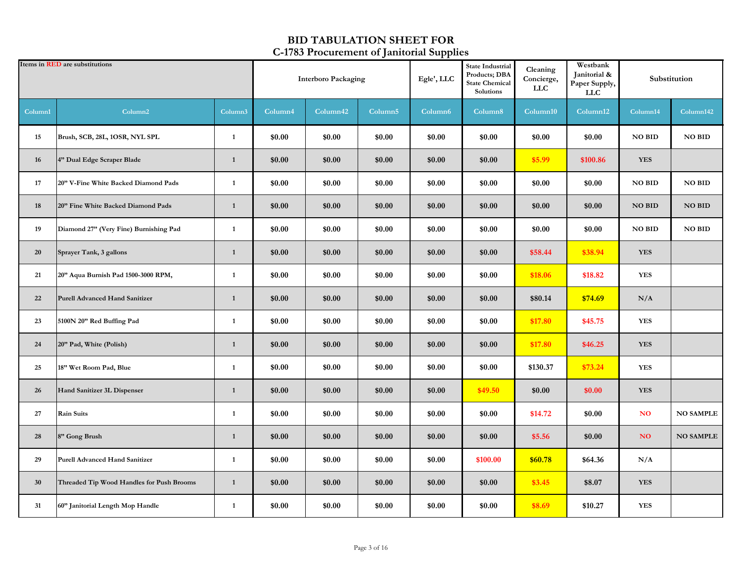|         | Items in <b>RED</b> are substitutions     |              | <b>Interboro Packaging</b> |                      | State Industrial<br>Products; DBA<br>Egle', LLC<br><b>State Chemical</b><br>Solutions |                     | Cleaning<br>Concierge,<br>${\rm LLC}$ | Westbank<br>Janitorial &<br>Paper Supply,<br><b>LLC</b> |          | Substitution  |                  |
|---------|-------------------------------------------|--------------|----------------------------|----------------------|---------------------------------------------------------------------------------------|---------------------|---------------------------------------|---------------------------------------------------------|----------|---------------|------------------|
| Column1 | Column <sub>2</sub>                       | Column3      | Column4                    | Column <sup>42</sup> | Column <sub>5</sub>                                                                   | Column <sub>6</sub> | Column8                               | Column10                                                | Column12 | Column14      | Column142        |
| 15      | Brush, SCB, 28L, 1OSR, NYL SPL            | $\mathbf{1}$ | \$0.00                     | \$0.00               | \$0.00                                                                                | \$0.00              | \$0.00                                | \$0.00                                                  | \$0.00   | <b>NO BID</b> | <b>NO BID</b>    |
| 16      | 4" Dual Edge Scraper Blade                | $\mathbf{1}$ | \$0.00                     | \$0.00               | \$0.00                                                                                | \$0.00              | \$0.00                                | \$5.99                                                  | \$100.86 | <b>YES</b>    |                  |
| 17      | 20" V-Fine White Backed Diamond Pads      | $\mathbf{1}$ | \$0.00                     | \$0.00               | \$0.00                                                                                | \$0.00              | \$0.00                                | \$0.00                                                  | \$0.00   | <b>NO BID</b> | <b>NO BID</b>    |
| 18      | 20" Fine White Backed Diamond Pads        | $\mathbf{1}$ | \$0.00                     | \$0.00               | \$0.00                                                                                | \$0.00              | \$0.00                                | \$0.00                                                  | \$0.00   | <b>NO BID</b> | <b>NO BID</b>    |
| 19      | Diamond 27" (Very Fine) Burnishing Pad    | $\mathbf{1}$ | \$0.00                     | \$0.00               | \$0.00                                                                                | \$0.00              | \$0.00                                | \$0.00                                                  | \$0.00   | NO BID        | NO BID           |
| 20      | Sprayer Tank, 3 gallons                   | $\mathbf{1}$ | \$0.00                     | \$0.00               | \$0.00                                                                                | \$0.00              | \$0.00                                | \$58.44                                                 | \$38.94  | <b>YES</b>    |                  |
| 21      | 20" Aqua Burnish Pad 1500-3000 RPM,       | $\mathbf{1}$ | \$0.00                     | \$0.00               | \$0.00                                                                                | \$0.00              | \$0.00                                | \$18.06                                                 | \$18.82  | <b>YES</b>    |                  |
| 22      | <b>Purell Advanced Hand Sanitizer</b>     | $\mathbf{1}$ | \$0.00                     | \$0.00               | \$0.00                                                                                | \$0.00              | \$0.00                                | \$80.14                                                 | \$74.69  | N/A           |                  |
| 23      | 5100N 20" Red Buffing Pad                 | $\mathbf{1}$ | \$0.00                     | \$0.00               | \$0.00                                                                                | \$0.00              | \$0.00                                | \$17.80                                                 | \$45.75  | <b>YES</b>    |                  |
| 24      | 20" Pad, White (Polish)                   | $\mathbf{1}$ | \$0.00                     | \$0.00               | \$0.00                                                                                | \$0.00              | \$0.00                                | \$17.80                                                 | \$46.25  | <b>YES</b>    |                  |
| 25      | 18" Wet Room Pad, Blue                    | $\mathbf{1}$ | \$0.00                     | \$0.00               | \$0.00                                                                                | \$0.00              | \$0.00                                | \$130.37                                                | \$73.24  | <b>YES</b>    |                  |
| 26      | Hand Sanitizer 3L Dispenser               | $\mathbf{1}$ | \$0.00                     | \$0.00               | \$0.00                                                                                | \$0.00              | \$49.50                               | \$0.00                                                  | \$0.00   | <b>YES</b>    |                  |
| 27      | <b>Rain Suits</b>                         | $\mathbf{1}$ | \$0.00                     | \$0.00               | \$0.00                                                                                | \$0.00              | \$0.00                                | \$14.72                                                 | \$0.00   | <b>NO</b>     | <b>NO SAMPLE</b> |
| 28      | 8" Gong Brush                             | $\mathbf{1}$ | \$0.00                     | \$0.00               | \$0.00                                                                                | \$0.00              | \$0.00                                | \$5.56                                                  | \$0.00   | NO.           | <b>NO SAMPLE</b> |
| 29      | <b>Purell Advanced Hand Sanitizer</b>     | $\mathbf{1}$ | \$0.00                     | \$0.00               | \$0.00                                                                                | \$0.00              | \$100.00                              | \$60.78                                                 | \$64.36  | N/A           |                  |
| 30      | Threaded Tip Wood Handles for Push Brooms | $\mathbf{1}$ | \$0.00                     | \$0.00               | \$0.00                                                                                | \$0.00              | \$0.00                                | \$3.45                                                  | \$8.07   | <b>YES</b>    |                  |
| 31      | 60" Janitorial Length Mop Handle          | $\mathbf{1}$ | \$0.00                     | \$0.00               | \$0.00                                                                                | \$0.00              | \$0.00                                | \$8.69                                                  | \$10.27  | <b>YES</b>    |                  |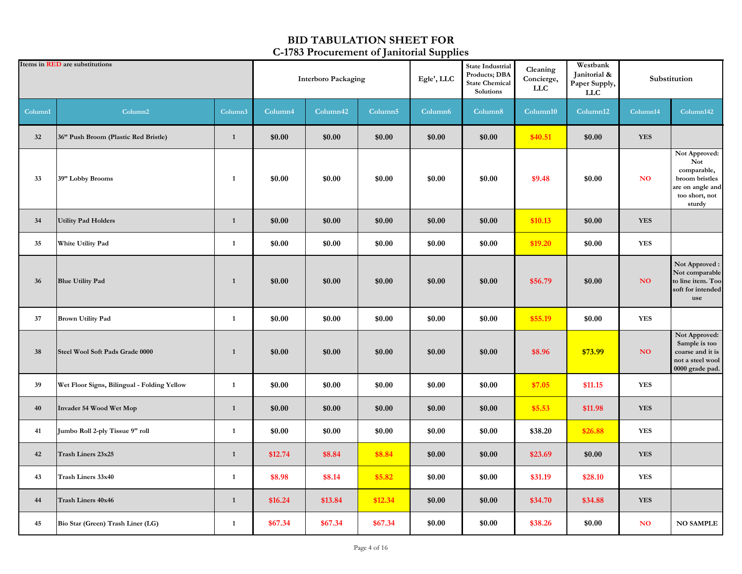|         | Items in <b>RED</b> are substitutions<br>Column <sub>2</sub> |              | <b>Interboro Packaging</b> |          |                     | Egle', LLC          | <b>State Industrial</b><br>Products; DBA<br><b>State Chemical</b><br>Solutions | Cleaning<br>Concierge,<br><b>LLC</b> | Westbank<br>Janitorial &<br>Paper Supply,<br><b>LLC</b> |                | Substitution                                                                                          |
|---------|--------------------------------------------------------------|--------------|----------------------------|----------|---------------------|---------------------|--------------------------------------------------------------------------------|--------------------------------------|---------------------------------------------------------|----------------|-------------------------------------------------------------------------------------------------------|
| Column1 |                                                              | Column3      | Column4                    | Column42 | Column <sub>5</sub> | Column <sub>6</sub> | Column8                                                                        | Column10                             | Column12                                                | Column14       | Column142                                                                                             |
| 32      | 36" Push Broom (Plastic Red Bristle)                         | $\mathbf{1}$ | \$0.00                     | \$0.00   | \$0.00              | \$0.00              | \$0.00                                                                         | \$40.51                              | \$0.00                                                  | <b>YES</b>     |                                                                                                       |
| 33      | 39" Lobby Brooms                                             | $\mathbf{1}$ | \$0.00                     | \$0.00   | \$0.00              | \$0.00              | \$0.00                                                                         | \$9.48                               | \$0.00                                                  | N <sub>O</sub> | Not Approved:<br>Not<br>comparable,<br>broom bristles<br>are on angle and<br>too short, not<br>sturdy |
| 34      | <b>Utility Pad Holders</b>                                   | $\mathbf{1}$ | \$0.00                     | \$0.00   | \$0.00              | \$0.00              | \$0.00                                                                         | \$10.13                              | \$0.00                                                  | <b>YES</b>     |                                                                                                       |
| 35      | White Utility Pad                                            | $\mathbf{1}$ | \$0.00                     | \$0.00   | \$0.00              | \$0.00              | \$0.00                                                                         | \$19.20                              | \$0.00                                                  | <b>YES</b>     |                                                                                                       |
| 36      | <b>Blue Utility Pad</b>                                      | $\mathbf{1}$ | \$0.00                     | \$0.00   | \$0.00              | \$0.00              | \$0.00                                                                         | \$56.79                              | \$0.00                                                  | NO.            | Not Approved:<br>Not comparable<br>to line item. Too<br>soft for intended<br>use                      |
| 37      | <b>Brown Utility Pad</b>                                     | $\mathbf{1}$ | \$0.00                     | \$0.00   | \$0.00              | \$0.00              | \$0.00                                                                         | \$55.19                              | \$0.00                                                  | <b>YES</b>     |                                                                                                       |
| 38      | Steel Wool Soft Pads Grade 0000                              | $\mathbf{1}$ | \$0.00                     | \$0.00   | \$0.00              | \$0.00              | \$0.00                                                                         | \$8.96                               | \$73.99                                                 | NO             | Not Approved:<br>Sample is too<br>coarse and it is<br>not a steel wool<br>0000 grade pad.             |
| 39      | Wet Floor Signs, Bilingual - Folding Yellow                  | $\mathbf{1}$ | \$0.00                     | \$0.00   | \$0.00              | \$0.00              | \$0.00                                                                         | \$7.05                               | \$11.15                                                 | <b>YES</b>     |                                                                                                       |
| 40      | Invader 54 Wood Wet Mop                                      | $\mathbf{1}$ | \$0.00                     | \$0.00   | \$0.00              | \$0.00              | \$0.00                                                                         | \$5.53                               | \$11.98                                                 | <b>YES</b>     |                                                                                                       |
| 41      | Jumbo Roll 2-ply Tissue 9" roll                              | $\mathbf{1}$ | \$0.00                     | \$0.00   | \$0.00              | \$0.00              | \$0.00                                                                         | \$38.20                              | \$26.88                                                 | <b>YES</b>     |                                                                                                       |
| 42      | Trash Liners 23x25                                           | $\mathbf{1}$ | \$12.74                    | \$8.84   | \$8.84              | \$0.00              | \$0.00                                                                         | \$23.69                              | \$0.00                                                  | <b>YES</b>     |                                                                                                       |
| 43      | Trash Liners 33x40                                           | $\mathbf{1}$ | \$8.98                     | \$8.14   | \$5.82              | \$0.00              | \$0.00                                                                         | \$31.19                              | \$28.10                                                 | <b>YES</b>     |                                                                                                       |
| 44      | <b>Trash Liners 40x46</b>                                    | $\mathbf{1}$ | \$16.24                    | \$13.84  | \$12.34             | \$0.00              | \$0.00                                                                         | \$34.70                              | \$34.88                                                 | <b>YES</b>     |                                                                                                       |
| 45      | Bio Star (Green) Trash Liner (LG)                            | $\mathbf{1}$ | \$67.34                    | \$67.34  | \$67.34             | \$0.00              | \$0.00                                                                         | \$38.26                              | \$0.00                                                  | <b>NO</b>      | <b>NO SAMPLE</b>                                                                                      |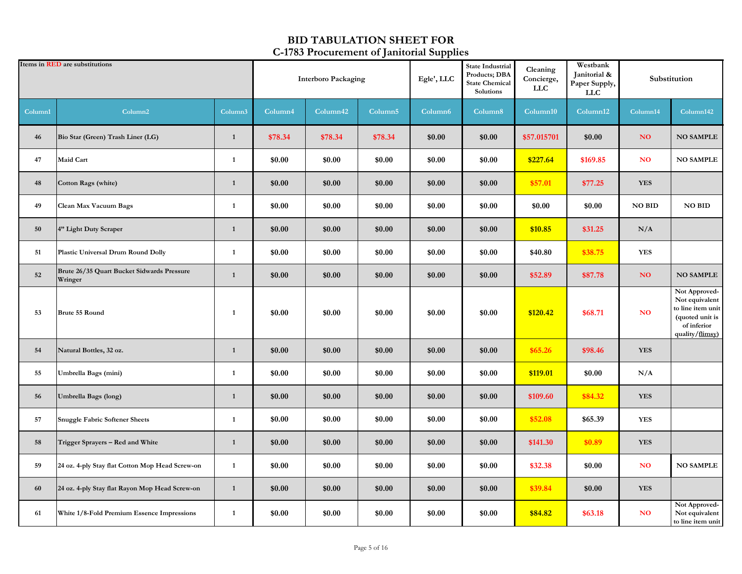|         | Items in <b>RED</b> are substitutions                 |              | <b>Interboro Packaging</b> |          |                     | Egle', LLC          | <b>State Industrial</b><br>Products; DBA<br><b>State Chemical</b><br>Solutions | Cleaning<br>Concierge,<br>LLC | Westbank<br>Janitorial &<br>Paper Supply,<br><b>LLC</b> |                 | Substitution                                                                                              |
|---------|-------------------------------------------------------|--------------|----------------------------|----------|---------------------|---------------------|--------------------------------------------------------------------------------|-------------------------------|---------------------------------------------------------|-----------------|-----------------------------------------------------------------------------------------------------------|
| Column1 | Column <sub>2</sub>                                   | Column3      | Column4                    | Column42 | Column <sub>5</sub> | Column <sub>6</sub> | Column8                                                                        | Column10                      | Column12                                                | Column14        | Column142                                                                                                 |
| 46      | Bio Star (Green) Trash Liner (LG)                     | $\mathbf{1}$ | \$78.34                    | \$78.34  | \$78.34             | \$0.00              | \$0.00                                                                         | \$57.015701                   | \$0.00                                                  | NO <sub>1</sub> | <b>NO SAMPLE</b>                                                                                          |
| 47      | Maid Cart                                             | 1            | \$0.00                     | \$0.00   | \$0.00              | \$0.00              | \$0.00                                                                         | \$227.64                      | \$169.85                                                | <b>NO</b>       | <b>NO SAMPLE</b>                                                                                          |
| 48      | Cotton Rags (white)                                   | $\mathbf{1}$ | \$0.00                     | \$0.00   | \$0.00              | \$0.00              | \$0.00                                                                         | \$57.01                       | \$77.25                                                 | <b>YES</b>      |                                                                                                           |
| 49      | Clean Max Vacuum Bags                                 | 1            | \$0.00                     | \$0.00   | \$0.00              | \$0.00              | \$0.00                                                                         | \$0.00                        | \$0.00                                                  | <b>NO BID</b>   | <b>NO BID</b>                                                                                             |
| 50      | 4" Light Duty Scraper                                 | $\mathbf{1}$ | \$0.00                     | \$0.00   | \$0.00              | \$0.00              | \$0.00                                                                         | \$10.85                       | \$31.25                                                 | N/A             |                                                                                                           |
| 51      | Plastic Universal Drum Round Dolly                    | $\mathbf{1}$ | \$0.00                     | \$0.00   | \$0.00              | \$0.00              | \$0.00                                                                         | \$40.80                       | \$38.75                                                 | <b>YES</b>      |                                                                                                           |
| 52      | Brute 26/35 Quart Bucket Sidwards Pressure<br>Wringer | 1            | \$0.00                     | \$0.00   | \$0.00              | \$0.00              | \$0.00                                                                         | \$52.89                       | \$87.78                                                 | NO <sub>1</sub> | <b>NO SAMPLE</b>                                                                                          |
| 53      | Brute 55 Round                                        | 1            | \$0.00                     | \$0.00   | \$0.00              | \$0.00              | \$0.00                                                                         | \$120.42                      | \$68.71                                                 | N <sub>O</sub>  | Not Approved-<br>Not equivalent<br>to line item unit<br>(quoted unit is<br>of inferior<br>quality/flimsy) |
| 54      | Natural Bottles, 32 oz.                               | $\mathbf{1}$ | \$0.00                     | \$0.00   | \$0.00              | \$0.00              | \$0.00                                                                         | \$65.26                       | \$98.46                                                 | <b>YES</b>      |                                                                                                           |
| 55      | Umbrella Bags (mini)                                  | $\mathbf{1}$ | \$0.00                     | \$0.00   | \$0.00              | \$0.00              | \$0.00                                                                         | \$119.01                      | \$0.00                                                  | N/A             |                                                                                                           |
| 56      | Umbrella Bags (long)                                  | $\mathbf{1}$ | \$0.00                     | \$0.00   | \$0.00              | \$0.00              | \$0.00                                                                         | \$109.60                      | \$84.32                                                 | <b>YES</b>      |                                                                                                           |
| 57      | <b>Snuggle Fabric Softener Sheets</b>                 | 1            | \$0.00                     | \$0.00   | \$0.00              | \$0.00              | \$0.00                                                                         | \$52.08                       | \$65.39                                                 | <b>YES</b>      |                                                                                                           |
| 58      | Trigger Sprayers - Red and White                      | $\mathbf{1}$ | \$0.00                     | \$0.00   | \$0.00              | \$0.00              | \$0.00                                                                         | \$141.30                      | \$0.89                                                  | <b>YES</b>      |                                                                                                           |
| 59      | 24 oz. 4-ply Stay flat Cotton Mop Head Screw-on       | $\mathbf{1}$ | \$0.00                     | \$0.00   | \$0.00              | \$0.00              | \$0.00                                                                         | \$32.38                       | \$0.00                                                  | <b>NO</b>       | <b>NO SAMPLE</b>                                                                                          |
| 60      | 24 oz. 4-ply Stay flat Rayon Mop Head Screw-on        | $\mathbf{1}$ | \$0.00                     | \$0.00   | \$0.00              | \$0.00              | \$0.00                                                                         | \$39.84                       | \$0.00                                                  | <b>YES</b>      |                                                                                                           |
| 61      | White 1/8-Fold Premium Essence Impressions            | 1            | \$0.00                     | \$0.00   | \$0.00              | \$0.00              | \$0.00                                                                         | \$84.82                       | \$63.18                                                 | <b>NO</b>       | Not Approved-<br>Not equivalent<br>to line item unit                                                      |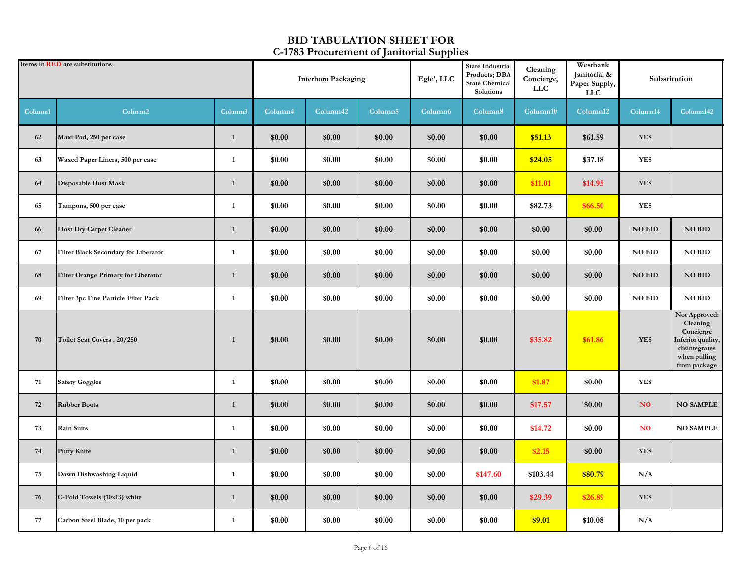|         | Items in <b>RED</b> are substitutions |                     | <b>Interboro Packaging</b> |          | Egle', LLC          | <b>State Industrial</b><br>Products; DBA<br><b>State Chemical</b><br>Solutions | Cleaning<br>Concierge,<br>LLC | Westbank<br>Janitorial &<br>Paper Supply,<br><b>LLC</b> |          | Substitution  |                                                                                                              |
|---------|---------------------------------------|---------------------|----------------------------|----------|---------------------|--------------------------------------------------------------------------------|-------------------------------|---------------------------------------------------------|----------|---------------|--------------------------------------------------------------------------------------------------------------|
| Column1 | Column <sub>2</sub>                   | Column <sub>3</sub> | Column4                    | Column42 | Column <sub>5</sub> | Column <sub>6</sub>                                                            | Column8                       | Column10                                                | Column12 | Column14      | Column142                                                                                                    |
| 62      | Maxi Pad, 250 per case                | $\mathbf{1}$        | \$0.00                     | \$0.00   | \$0.00              | \$0.00                                                                         | \$0.00                        | \$51.13                                                 | \$61.59  | <b>YES</b>    |                                                                                                              |
| 63      | Waxed Paper Liners, 500 per case      | 1                   | \$0.00                     | \$0.00   | \$0.00              | \$0.00                                                                         | \$0.00                        | \$24.05                                                 | \$37.18  | <b>YES</b>    |                                                                                                              |
| 64      | Disposable Dust Mask                  | $\mathbf{1}$        | \$0.00                     | \$0.00   | \$0.00              | \$0.00                                                                         | \$0.00                        | \$11.01                                                 | \$14.95  | <b>YES</b>    |                                                                                                              |
| 65      | Tampons, 500 per case                 | 1                   | \$0.00                     | \$0.00   | \$0.00              | \$0.00                                                                         | \$0.00                        | \$82.73                                                 | \$66.50  | <b>YES</b>    |                                                                                                              |
| 66      | <b>Host Dry Carpet Cleaner</b>        | $\mathbf{1}$        | \$0.00                     | \$0.00   | \$0.00              | \$0.00                                                                         | \$0.00                        | \$0.00                                                  | \$0.00   | <b>NO BID</b> | <b>NO BID</b>                                                                                                |
| 67      | Filter Black Secondary for Liberator  | $\mathbf{1}$        | \$0.00                     | \$0.00   | \$0.00              | \$0.00                                                                         | \$0.00                        | \$0.00                                                  | \$0.00   | <b>NO BID</b> | <b>NO BID</b>                                                                                                |
| 68      | Filter Orange Primary for Liberator   | $\mathbf{1}$        | \$0.00                     | \$0.00   | \$0.00              | \$0.00                                                                         | \$0.00                        | \$0.00                                                  | \$0.00   | <b>NO BID</b> | <b>NO BID</b>                                                                                                |
| 69      | Filter 3pc Fine Particle Filter Pack  | $\mathbf{1}$        | \$0.00                     | \$0.00   | \$0.00              | \$0.00                                                                         | \$0.00                        | \$0.00                                                  | \$0.00   | <b>NO BID</b> | <b>NO BID</b>                                                                                                |
| 70      | Toilet Seat Covers . 20/250           | $\mathbf{1}$        | \$0.00                     | \$0.00   | \$0.00              | \$0.00                                                                         | \$0.00                        | \$35.82                                                 | \$61.86  | <b>YES</b>    | Not Approved:<br>Cleaning<br>Concierge<br>Inferior quality,<br>disintegrates<br>when pulling<br>from package |
| 71      | <b>Safety Goggles</b>                 | 1                   | \$0.00                     | \$0.00   | \$0.00              | \$0.00                                                                         | \$0.00                        | \$1.87                                                  | \$0.00   | <b>YES</b>    |                                                                                                              |
| 72      | <b>Rubber Boots</b>                   | $\mathbf{1}$        | \$0.00                     | \$0.00   | \$0.00              | \$0.00                                                                         | \$0.00                        | \$17.57                                                 | \$0.00   | NO.           | <b>NO SAMPLE</b>                                                                                             |
| 73      | <b>Rain Suits</b>                     | $\mathbf{1}$        | \$0.00                     | \$0.00   | \$0.00              | \$0.00                                                                         | \$0.00                        | \$14.72                                                 | \$0.00   | <b>NO</b>     | <b>NO SAMPLE</b>                                                                                             |
| 74      | <b>Putty Knife</b>                    | $\mathbf{1}$        | \$0.00                     | \$0.00   | \$0.00              | \$0.00                                                                         | \$0.00                        | \$2.15                                                  | \$0.00   | <b>YES</b>    |                                                                                                              |
| 75      | Dawn Dishwashing Liquid               | 1                   | \$0.00                     | \$0.00   | \$0.00              | \$0.00                                                                         | \$147.60                      | \$103.44                                                | \$80.79  | N/A           |                                                                                                              |
| 76      | C-Fold Towels (10x13) white           | $\mathbf{1}$        | \$0.00                     | \$0.00   | \$0.00              | \$0.00                                                                         | \$0.00                        | \$29.39                                                 | \$26.89  | <b>YES</b>    |                                                                                                              |
| 77      | Carbon Steel Blade, 10 per pack       | $\mathbf{1}$        | \$0.00                     | \$0.00   | \$0.00              | \$0.00                                                                         | \$0.00                        | \$9.01                                                  | \$10.08  | N/A           |                                                                                                              |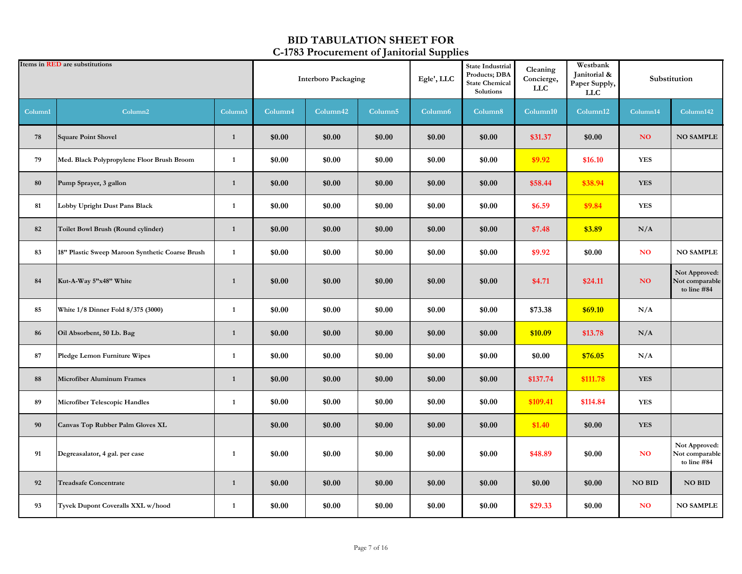|         | Items in <b>RED</b> are substitutions           |              | <b>Interboro Packaging</b> |          |                     | Egle', LLC          | <b>State Industrial</b><br>Products; DBA<br><b>State Chemical</b><br>Solutions | Cleaning<br>Concierge,<br><b>LLC</b> | Westbank<br>Janitorial &<br>Paper Supply,<br><b>LLC</b> |               | Substitution                                   |
|---------|-------------------------------------------------|--------------|----------------------------|----------|---------------------|---------------------|--------------------------------------------------------------------------------|--------------------------------------|---------------------------------------------------------|---------------|------------------------------------------------|
| Column1 | Column <sub>2</sub>                             | Column3      | Column4                    | Column42 | Column <sub>5</sub> | Column <sub>6</sub> | Column8                                                                        | Column10                             | Column12                                                | Column14      | Column142                                      |
| 78      | <b>Square Point Shovel</b>                      | $\mathbf{1}$ | \$0.00                     | \$0.00   | \$0.00              | \$0.00              | \$0.00                                                                         | \$31.37                              | \$0.00                                                  | NO.           | <b>NO SAMPLE</b>                               |
| 79      | Med. Black Polypropylene Floor Brush Broom      | $\mathbf{1}$ | \$0.00                     | \$0.00   | \$0.00              | \$0.00              | \$0.00                                                                         | \$9.92                               | \$16.10                                                 | <b>YES</b>    |                                                |
| 80      | Pump Sprayer, 3 gallon                          | $\mathbf{1}$ | \$0.00                     | \$0.00   | \$0.00              | \$0.00              | \$0.00                                                                         | \$58.44                              | \$38.94                                                 | <b>YES</b>    |                                                |
| 81      | Lobby Upright Dust Pans Black                   | 1            | \$0.00                     | \$0.00   | \$0.00              | \$0.00              | \$0.00                                                                         | \$6.59                               | \$9.84                                                  | <b>YES</b>    |                                                |
| 82      | Toilet Bowl Brush (Round cylinder)              | $\mathbf{1}$ | \$0.00                     | \$0.00   | \$0.00              | \$0.00              | \$0.00                                                                         | \$7.48                               | \$3.89                                                  | N/A           |                                                |
| 83      | 18" Plastic Sweep Maroon Synthetic Coarse Brush | $\mathbf{1}$ | \$0.00                     | \$0.00   | \$0.00              | \$0.00              | \$0.00                                                                         | \$9.92                               | \$0.00                                                  | <b>NO</b>     | <b>NO SAMPLE</b>                               |
| 84      | Kut-A-Way 5"x48" White                          | $\mathbf{1}$ | \$0.00                     | \$0.00   | \$0.00              | \$0.00              | \$0.00                                                                         | \$4.71                               | \$24.11                                                 | NO            | Not Approved:<br>Not comparable<br>to line #84 |
| 85      | White 1/8 Dinner Fold 8/375 (3000)              | $\mathbf{1}$ | \$0.00                     | \$0.00   | \$0.00              | \$0.00              | \$0.00                                                                         | \$73.38                              | \$69.10                                                 | N/A           |                                                |
| 86      | Oil Absorbent, 50 Lb. Bag                       | $\mathbf{1}$ | \$0.00                     | \$0.00   | \$0.00              | \$0.00              | \$0.00                                                                         | \$10.09                              | \$13.78                                                 | N/A           |                                                |
| 87      | Pledge Lemon Furniture Wipes                    | 1            | \$0.00                     | \$0.00   | \$0.00              | \$0.00              | \$0.00                                                                         | \$0.00                               | \$76.05                                                 | N/A           |                                                |
| 88      | <b>Microfiber Aluminum Frames</b>               | $\mathbf{1}$ | \$0.00                     | \$0.00   | \$0.00              | \$0.00              | \$0.00                                                                         | \$137.74                             | \$111.78                                                | <b>YES</b>    |                                                |
| 89      | Microfiber Telescopic Handles                   | $\mathbf{1}$ | \$0.00                     | \$0.00   | \$0.00              | \$0.00              | \$0.00                                                                         | \$109.41                             | \$114.84                                                | <b>YES</b>    |                                                |
| 90      | Canvas Top Rubber Palm Gloves XL                |              | \$0.00                     | \$0.00   | \$0.00              | \$0.00              | \$0.00                                                                         | \$1.40                               | \$0.00                                                  | <b>YES</b>    |                                                |
| 91      | Degreasalator, 4 gal. per case                  | 1            | \$0.00                     | \$0.00   | \$0.00              | \$0.00              | \$0.00                                                                         | \$48.89                              | \$0.00                                                  | <b>NO</b>     | Not Approved:<br>Not comparable<br>to line #84 |
| 92      | <b>Treadsafe Concentrate</b>                    | $\mathbf{1}$ | \$0.00                     | \$0.00   | \$0.00              | \$0.00              | \$0.00                                                                         | \$0.00                               | \$0.00                                                  | <b>NO BID</b> | <b>NO BID</b>                                  |
| 93      | Tyvek Dupont Coveralls XXL w/hood               | $\mathbf{1}$ | \$0.00                     | \$0.00   | \$0.00              | \$0.00              | \$0.00                                                                         | \$29.33                              | \$0.00                                                  | <b>NO</b>     | <b>NO SAMPLE</b>                               |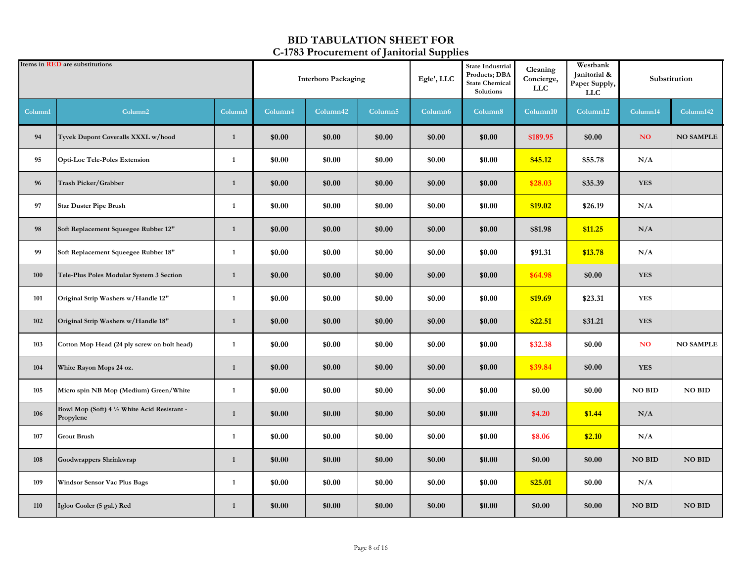|         | Items in <b>RED</b> are substitutions<br>Column <sub>2</sub> |              | <b>Interboro Packaging</b> |          | Egle', LLC          | <b>State Industrial</b><br>Products; DBA<br><b>State Chemical</b><br>Solutions | Cleaning<br>Concierge,<br><b>LLC</b> | Westbank<br>Janitorial &<br>Paper Supply,<br><b>LLC</b> |          | Substitution    |                  |
|---------|--------------------------------------------------------------|--------------|----------------------------|----------|---------------------|--------------------------------------------------------------------------------|--------------------------------------|---------------------------------------------------------|----------|-----------------|------------------|
| Column1 |                                                              | Column3      | Column4                    | Column42 | Column <sub>5</sub> | Column <sub>6</sub>                                                            | Column8                              | Column10                                                | Column12 | Column14        | Column142        |
| 94      | Tyvek Dupont Coveralls XXXL w/hood                           | $\mathbf{1}$ | \$0.00                     | \$0.00   | \$0.00              | \$0.00                                                                         | \$0.00                               | \$189.95                                                | \$0.00   | NO <sub>1</sub> | <b>NO SAMPLE</b> |
| 95      | <b>Opti-Loc Tele-Poles Extension</b>                         | 1            | \$0.00                     | \$0.00   | \$0.00              | \$0.00                                                                         | \$0.00                               | \$45.12                                                 | \$55.78  | N/A             |                  |
| 96      | Trash Picker/Grabber                                         | $\mathbf{1}$ | \$0.00                     | \$0.00   | \$0.00              | \$0.00                                                                         | \$0.00                               | \$28.03                                                 | \$35.39  | <b>YES</b>      |                  |
| 97      | <b>Star Duster Pipe Brush</b>                                | 1            | \$0.00                     | \$0.00   | \$0.00              | \$0.00                                                                         | \$0.00                               | \$19.02                                                 | \$26.19  | N/A             |                  |
| 98      | Soft Replacement Squeegee Rubber 12"                         | $\mathbf{1}$ | \$0.00                     | \$0.00   | \$0.00              | \$0.00                                                                         | \$0.00                               | \$81.98                                                 | \$11.25  | $\rm N/A$       |                  |
| 99      | Soft Replacement Squeegee Rubber 18"                         | $\mathbf{1}$ | \$0.00                     | \$0.00   | \$0.00              | \$0.00                                                                         | \$0.00                               | \$91.31                                                 | \$13.78  | N/A             |                  |
| 100     | Tele-Plus Poles Modular System 3 Section                     | $\mathbf{1}$ | \$0.00                     | \$0.00   | \$0.00              | \$0.00                                                                         | \$0.00                               | \$64.98                                                 | \$0.00   | <b>YES</b>      |                  |
| 101     | Original Strip Washers w/Handle 12"                          | $\mathbf{1}$ | \$0.00                     | \$0.00   | \$0.00              | \$0.00                                                                         | \$0.00                               | \$19.69                                                 | \$23.31  | <b>YES</b>      |                  |
| 102     | Original Strip Washers w/Handle 18"                          | $\mathbf{1}$ | \$0.00                     | \$0.00   | \$0.00              | \$0.00                                                                         | \$0.00                               | \$22.51                                                 | \$31.21  | <b>YES</b>      |                  |
| 103     | Cotton Mop Head (24 ply screw on bolt head)                  | 1            | \$0.00                     | \$0.00   | \$0.00              | \$0.00                                                                         | \$0.00                               | \$32.38                                                 | \$0.00   | <b>NO</b>       | <b>NO SAMPLE</b> |
| 104     | White Rayon Mops 24 oz.                                      | $\mathbf{1}$ | \$0.00                     | \$0.00   | \$0.00              | \$0.00                                                                         | \$0.00                               | \$39.84                                                 | \$0.00   | <b>YES</b>      |                  |
| 105     | Micro spin NB Mop (Medium) Green/White                       | $\mathbf{1}$ | \$0.00                     | \$0.00   | \$0.00              | \$0.00                                                                         | \$0.00                               | \$0.00                                                  | \$0.00   | <b>NO BID</b>   | <b>NO BID</b>    |
| 106     | Bowl Mop (Soft) 4 1/2 White Acid Resistant -<br>Propylene    | $\mathbf{1}$ | \$0.00                     | \$0.00   | \$0.00              | \$0.00                                                                         | \$0.00                               | \$4.20                                                  | \$1.44   | N/A             |                  |
| 107     | <b>Grout Brush</b>                                           | 1            | \$0.00                     | \$0.00   | \$0.00              | \$0.00                                                                         | \$0.00                               | \$8.06                                                  | \$2.10   | N/A             |                  |
| 108     | Goodwrappers Shrinkwrap                                      | $\mathbf{1}$ | \$0.00                     | \$0.00   | \$0.00              | \$0.00                                                                         | \$0.00                               | \$0.00                                                  | \$0.00   | <b>NO BID</b>   | <b>NO BID</b>    |
| 109     | <b>Windsor Sensor Vac Plus Bags</b>                          | $\mathbf{1}$ | \$0.00                     | \$0.00   | \$0.00              | \$0.00                                                                         | \$0.00                               | \$25.01                                                 | \$0.00   | N/A             |                  |
| 110     | Igloo Cooler (5 gal.) Red                                    | $\mathbf{1}$ | \$0.00                     | \$0.00   | \$0.00              | \$0.00                                                                         | \$0.00                               | \$0.00                                                  | \$0.00   | <b>NO BID</b>   | <b>NO BID</b>    |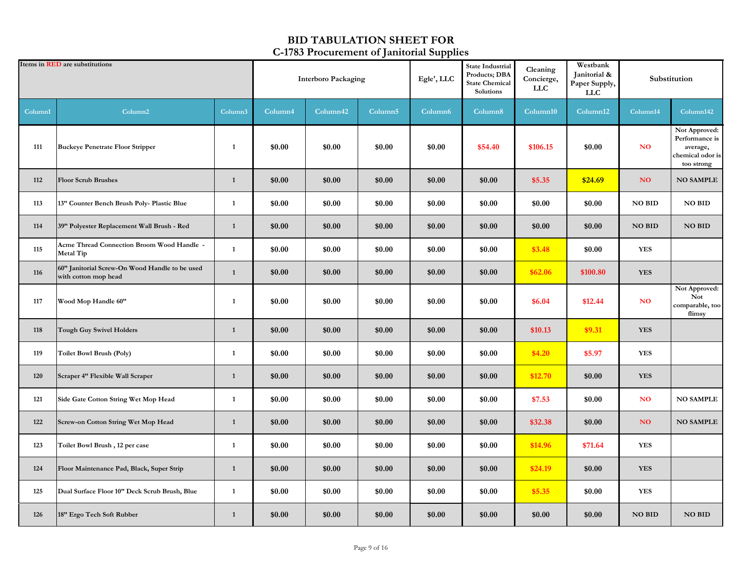|         | Items in <b>RED</b> are substitutions                                  |                     | <b>Interboro Packaging</b> |          | <b>State Industrial</b><br>Products; DBA<br>Egle', LLC<br><b>State Chemical</b><br>Solutions |                     | Cleaning<br>Concierge,<br><b>LLC</b> | Westbank<br>Janitorial &<br>Paper Supply,<br><b>LLC</b> |          | Substitution    |                                                                               |
|---------|------------------------------------------------------------------------|---------------------|----------------------------|----------|----------------------------------------------------------------------------------------------|---------------------|--------------------------------------|---------------------------------------------------------|----------|-----------------|-------------------------------------------------------------------------------|
| Column1 | Column <sub>2</sub>                                                    | Column <sub>3</sub> | Column4                    | Column42 | Column <sub>5</sub>                                                                          | Column <sub>6</sub> | Column8                              | Column10                                                | Column12 | Column14        | Column142                                                                     |
| 111     | <b>Buckeye Penetrate Floor Stripper</b>                                | $\mathbf{1}$        | \$0.00                     | \$0.00   | \$0.00                                                                                       | \$0.00              | \$54.40                              | \$106.15                                                | \$0.00   | <b>NO</b>       | Not Approved:<br>Performance is<br>average,<br>chemical odor is<br>too strong |
| 112     | <b>Floor Scrub Brushes</b>                                             | $\mathbf{1}$        | \$0.00                     | \$0.00   | \$0.00                                                                                       | \$0.00              | \$0.00                               | \$5.35                                                  | \$24.69  | NO              | <b>NO SAMPLE</b>                                                              |
| 113     | 13" Counter Bench Brush Poly- Plastic Blue                             | $\mathbf{1}$        | \$0.00                     | \$0.00   | \$0.00                                                                                       | \$0.00              | \$0.00                               | \$0.00                                                  | \$0.00   | NO BID          | NO BID                                                                        |
| 114     | 39" Polyester Replacement Wall Brush - Red                             | $\mathbf{1}$        | \$0.00                     | \$0.00   | \$0.00                                                                                       | \$0.00              | \$0.00                               | \$0.00                                                  | \$0.00   | <b>NO BID</b>   | <b>NO BID</b>                                                                 |
| 115     | Acme Thread Connection Broom Wood Handle -<br><b>Metal Tip</b>         | $\mathbf{1}$        | \$0.00                     | \$0.00   | \$0.00                                                                                       | \$0.00              | \$0.00                               | \$3.48                                                  | \$0.00   | <b>YES</b>      |                                                                               |
| 116     | 60" Janitorial Screw-On Wood Handle to be used<br>with cotton mop head | $\mathbf{1}$        | \$0.00                     | \$0.00   | \$0.00                                                                                       | \$0.00              | \$0.00                               | \$62.06                                                 | \$100.80 | <b>YES</b>      |                                                                               |
| 117     | Wood Mop Handle 60"                                                    | $\mathbf{1}$        | \$0.00                     | \$0.00   | \$0.00                                                                                       | \$0.00              | \$0.00                               | \$6.04                                                  | \$12.44  | <b>NO</b>       | Not Approved:<br><b>Not</b><br>comparable, too<br>flimsy                      |
| 118     | <b>Tough Guy Swivel Holders</b>                                        | $\mathbf{1}$        | \$0.00                     | \$0.00   | \$0.00                                                                                       | \$0.00              | \$0.00                               | \$10.13                                                 | \$9.31   | <b>YES</b>      |                                                                               |
| 119     | Toilet Bowl Brush (Poly)                                               | $\mathbf{1}$        | \$0.00                     | \$0.00   | \$0.00                                                                                       | \$0.00              | \$0.00                               | \$4.20                                                  | \$5.97   | <b>YES</b>      |                                                                               |
| 120     | Scraper 4" Flexible Wall Scraper                                       | $\mathbf{1}$        | \$0.00                     | \$0.00   | \$0.00                                                                                       | \$0.00              | \$0.00                               | \$12.70                                                 | \$0.00   | <b>YES</b>      |                                                                               |
| 121     | Side Gate Cotton String Wet Mop Head                                   | $\mathbf{1}$        | \$0.00                     | \$0.00   | \$0.00                                                                                       | \$0.00              | \$0.00                               | \$7.53                                                  | \$0.00   | <b>NO</b>       | <b>NO SAMPLE</b>                                                              |
| 122     | Screw-on Cotton String Wet Mop Head                                    | $\mathbf{1}$        | \$0.00                     | \$0.00   | \$0.00                                                                                       | \$0.00              | \$0.00                               | \$32.38                                                 | \$0.00   | NO <sub>1</sub> | <b>NO SAMPLE</b>                                                              |
| 123     | Toilet Bowl Brush, 12 per case                                         | $\mathbf{1}$        | \$0.00                     | \$0.00   | \$0.00                                                                                       | \$0.00              | \$0.00                               | \$14.96                                                 | \$71.64  | <b>YES</b>      |                                                                               |
| 124     | Floor Maintenance Pad, Black, Super Strip                              | $\mathbf{1}$        | \$0.00                     | \$0.00   | \$0.00                                                                                       | \$0.00              | \$0.00                               | \$24.19                                                 | \$0.00   | <b>YES</b>      |                                                                               |
| 125     | Dual Surface Floor 10" Deck Scrub Brush, Blue                          | $\mathbf{1}$        | \$0.00                     | \$0.00   | \$0.00                                                                                       | \$0.00              | \$0.00                               | \$5.35                                                  | \$0.00   | <b>YES</b>      |                                                                               |
| 126     | 18" Ergo Tech Soft Rubber                                              | $\mathbf{1}$        | \$0.00                     | \$0.00   | \$0.00                                                                                       | \$0.00              | \$0.00                               | \$0.00                                                  | \$0.00   | <b>NO BID</b>   | <b>NO BID</b>                                                                 |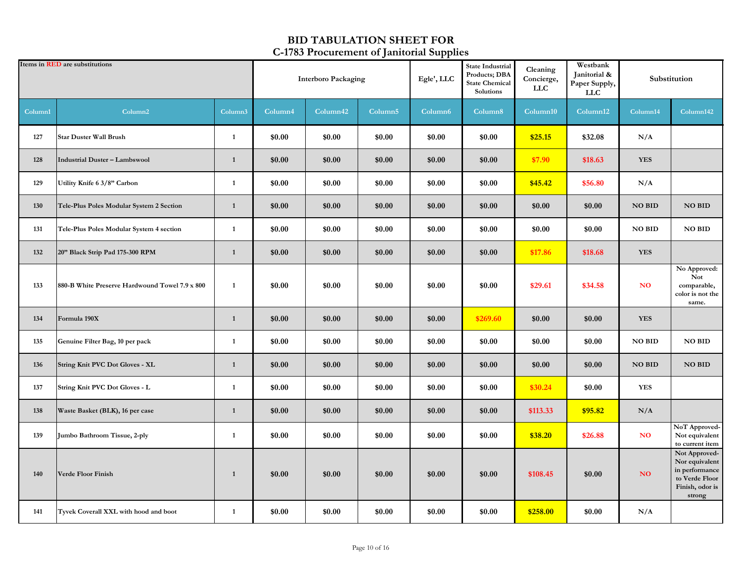|         | Items in <b>RED</b> are substitutions          |              | <b>Interboro Packaging</b> |                      |                     | Egle', LLC          | <b>State Industrial</b><br>Products; DBA<br><b>State Chemical</b><br>Solutions | Cleaning<br>Concierge,<br><b>LLC</b> | Westbank<br>Janitorial &<br>Paper Supply,<br><b>LLC</b> |               | Substitution                                                                                     |
|---------|------------------------------------------------|--------------|----------------------------|----------------------|---------------------|---------------------|--------------------------------------------------------------------------------|--------------------------------------|---------------------------------------------------------|---------------|--------------------------------------------------------------------------------------------------|
| Column1 | Column <sub>2</sub>                            | Column3      | Column4                    | Column <sub>42</sub> | Column <sub>5</sub> | Column <sub>6</sub> | Column8                                                                        | Column10                             | Column12                                                | Column14      | Column142                                                                                        |
| 127     | <b>Star Duster Wall Brush</b>                  | 1            | \$0.00                     | \$0.00               | \$0.00              | \$0.00              | \$0.00                                                                         | \$25.15                              | \$32.08                                                 | N/A           |                                                                                                  |
| 128     | <b>Industrial Duster - Lambswool</b>           | $\mathbf{1}$ | \$0.00                     | \$0.00               | \$0.00              | \$0.00              | \$0.00                                                                         | \$7.90                               | \$18.63                                                 | <b>YES</b>    |                                                                                                  |
| 129     | Utility Knife 6 3/8" Carbon                    | $\mathbf{1}$ | \$0.00                     | \$0.00               | \$0.00              | \$0.00              | \$0.00                                                                         | \$45.42                              | \$56.80                                                 | N/A           |                                                                                                  |
| 130     | Tele-Plus Poles Modular System 2 Section       | $\mathbf{1}$ | \$0.00                     | \$0.00               | \$0.00              | \$0.00              | \$0.00                                                                         | \$0.00                               | \$0.00                                                  | <b>NO BID</b> | <b>NO BID</b>                                                                                    |
| 131     | Tele-Plus Poles Modular System 4 section       | $\mathbf{1}$ | \$0.00                     | \$0.00               | \$0.00              | \$0.00              | \$0.00                                                                         | \$0.00                               | \$0.00                                                  | <b>NO BID</b> | NO BID                                                                                           |
| 132     | 20" Black Strip Pad 175-300 RPM                | $\mathbf{1}$ | \$0.00                     | \$0.00               | \$0.00              | \$0.00              | \$0.00                                                                         | \$17.86                              | \$18.68                                                 | <b>YES</b>    |                                                                                                  |
| 133     | 880-B White Preserve Hardwound Towel 7.9 x 800 | $\mathbf{1}$ | \$0.00                     | \$0.00               | \$0.00              | \$0.00              | \$0.00                                                                         | \$29.61                              | \$34.58                                                 | NO.           | No Approved:<br><b>Not</b><br>comparable,<br>color is not the<br>same.                           |
| 134     | Formula 190X                                   | $\mathbf{1}$ | \$0.00                     | \$0.00               | \$0.00              | \$0.00              | \$269.60                                                                       | \$0.00                               | \$0.00                                                  | <b>YES</b>    |                                                                                                  |
| 135     | Genuine Filter Bag, 10 per pack                | $\mathbf{1}$ | \$0.00                     | \$0.00               | \$0.00              | \$0.00              | \$0.00                                                                         | \$0.00                               | \$0.00                                                  | NO BID        | NO BID                                                                                           |
| 136     | <b>String Knit PVC Dot Gloves - XL</b>         | $\mathbf{1}$ | \$0.00                     | \$0.00               | \$0.00              | \$0.00              | \$0.00                                                                         | \$0.00                               | \$0.00                                                  | <b>NO BID</b> | <b>NO BID</b>                                                                                    |
| 137     | <b>String Knit PVC Dot Gloves - L</b>          | $\mathbf{1}$ | \$0.00                     | \$0.00               | \$0.00              | \$0.00              | \$0.00                                                                         | \$30.24                              | \$0.00                                                  | <b>YES</b>    |                                                                                                  |
| 138     | Waste Basket (BLK), 16 per case                | $\mathbf{1}$ | \$0.00                     | \$0.00               | \$0.00              | \$0.00              | \$0.00                                                                         | \$113.33                             | \$95.82                                                 | N/A           |                                                                                                  |
| 139     | Jumbo Bathroom Tissue, 2-ply                   | 1            | \$0.00                     | \$0.00               | \$0.00              | \$0.00              | \$0.00                                                                         | \$38.20                              | \$26.88                                                 | <b>NO</b>     | NoT Approved-<br>Not equivalent<br>to current item                                               |
| 140     | <b>Verde Floor Finish</b>                      | $\mathbf{1}$ | \$0.00                     | \$0.00               | \$0.00              | \$0.00              | \$0.00                                                                         | \$108.45                             | \$0.00                                                  | NO.           | Not Approved-<br>Nor equivalent<br>in performance<br>to Verde Floor<br>Finish, odor is<br>strong |
| 141     | Tyvek Coverall XXL with hood and boot          | $\mathbf{1}$ | \$0.00                     | \$0.00               | \$0.00              | \$0.00              | \$0.00                                                                         | \$258.00                             | \$0.00                                                  | N/A           |                                                                                                  |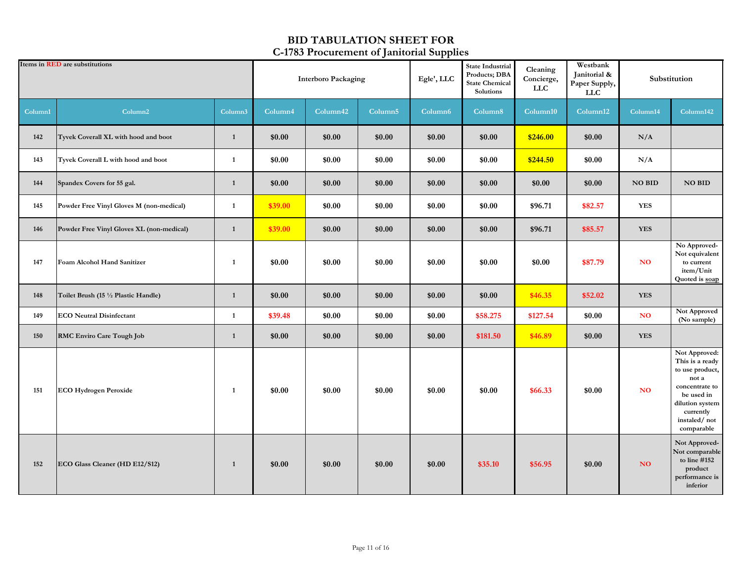|         | Items in <b>RED</b> are substitutions     |              | <b>Interboro Packaging</b> |          |                     | . .<br>Egle', LLC | State Industrial<br>Products; DBA<br><b>State Chemical</b><br>Solutions | Cleaning<br>Concierge,<br><b>LLC</b> | Westbank<br>Janitorial &<br>Paper Supply,<br>LLC |                | Substitution                                                                                                                                               |
|---------|-------------------------------------------|--------------|----------------------------|----------|---------------------|-------------------|-------------------------------------------------------------------------|--------------------------------------|--------------------------------------------------|----------------|------------------------------------------------------------------------------------------------------------------------------------------------------------|
| Column1 | Column <sub>2</sub>                       | Column3      | Column4                    | Column42 | Column <sub>5</sub> | Column6           | Column8                                                                 | Column10                             | Column12                                         | Column14       | Column142                                                                                                                                                  |
| 142     | Tyvek Coverall XL with hood and boot      | $\mathbf{1}$ | \$0.00                     | \$0.00   | \$0.00              | \$0.00            | \$0.00                                                                  | \$246.00                             | \$0.00                                           | N/A            |                                                                                                                                                            |
| 143     | Tyvek Coverall L with hood and boot       | $\mathbf{1}$ | \$0.00                     | \$0.00   | \$0.00              | \$0.00            | \$0.00                                                                  | \$244.50                             | \$0.00                                           | N/A            |                                                                                                                                                            |
| 144     | Spandex Covers for 55 gal.                | 1            | \$0.00                     | \$0.00   | \$0.00              | \$0.00            | \$0.00                                                                  | \$0.00                               | \$0.00                                           | <b>NO BID</b>  | <b>NO BID</b>                                                                                                                                              |
| 145     | Powder Free Vinyl Gloves M (non-medical)  | $\mathbf{1}$ | \$39.00                    | \$0.00   | \$0.00              | \$0.00            | \$0.00                                                                  | \$96.71                              | \$82.57                                          | <b>YES</b>     |                                                                                                                                                            |
| 146     | Powder Free Vinyl Gloves XL (non-medical) | 1            | \$39.00                    | \$0.00   | \$0.00              | \$0.00            | \$0.00                                                                  | \$96.71                              | \$85.57                                          | <b>YES</b>     |                                                                                                                                                            |
| 147     | Foam Alcohol Hand Sanitizer               | 1            | \$0.00                     | \$0.00   | \$0.00              | \$0.00            | \$0.00                                                                  | \$0.00                               | \$87.79                                          | <b>NO</b>      | No Approved-<br>Not equivalent<br>to current<br>item/Unit<br>Quoted is soap                                                                                |
| 148     | Toilet Brush (15 1/2 Plastic Handle)      | $\mathbf{1}$ | \$0.00                     | \$0.00   | \$0.00              | \$0.00            | \$0.00                                                                  | \$46.35                              | \$52.02                                          | <b>YES</b>     |                                                                                                                                                            |
| 149     | <b>ECO</b> Neutral Disinfectant           | 1            | \$39.48                    | \$0.00   | \$0.00              | \$0.00            | \$58.275                                                                | \$127.54                             | \$0.00                                           | <b>NO</b>      | Not Approved<br>(No sample)                                                                                                                                |
| 150     | <b>RMC Enviro Care Tough Job</b>          | 1            | \$0.00                     | \$0.00   | \$0.00              | \$0.00            | \$181.50                                                                | \$46.89                              | \$0.00                                           | <b>YES</b>     |                                                                                                                                                            |
| 151     | <b>ECO Hydrogen Peroxide</b>              | 1            | \$0.00                     | \$0.00   | \$0.00              | \$0.00            | \$0.00                                                                  | \$66.33                              | \$0.00                                           | N <sub>O</sub> | Not Approved:<br>This is a ready<br>to use product,<br>not a<br>concentrate to<br>be used in<br>dilution system<br>currently<br>instaled/not<br>comparable |
| 152     | ECO Glass Cleaner (HD E12/S12)            | $\mathbf{1}$ | \$0.00                     | \$0.00   | \$0.00              | \$0.00            | \$35.10                                                                 | \$56.95                              | \$0.00                                           | NO             | Not Approved-<br>Not comparable<br>to line #152<br>product<br>performance is<br>inferior                                                                   |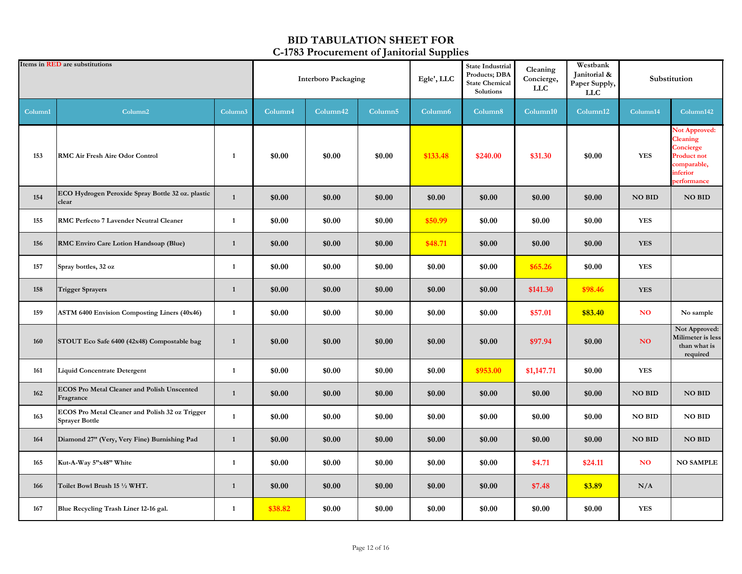|         | Items in <b>RED</b> are substitutions                                    |                     | <b>Interboro Packaging</b> |                      |                     | <b>* *</b><br>Egle', LLC | <b>State Industrial</b><br>Cleaning<br>Products; DBA<br>Concierge,<br><b>State Chemical</b><br>${\rm LLC}$<br>Solutions |            | Westbank<br>Janitorial &<br>Paper Supply,<br><b>LLC</b> | Substitution    |                                                                                                               |
|---------|--------------------------------------------------------------------------|---------------------|----------------------------|----------------------|---------------------|--------------------------|-------------------------------------------------------------------------------------------------------------------------|------------|---------------------------------------------------------|-----------------|---------------------------------------------------------------------------------------------------------------|
| Column1 | Column <sub>2</sub>                                                      | Column <sub>3</sub> | Column4                    | Column <sub>42</sub> | Column <sub>5</sub> | Column <sub>6</sub>      | Column <sub>8</sub>                                                                                                     | Column10   | Column12                                                | Column14        | Column142                                                                                                     |
| 153     | <b>RMC Air Fresh Aire Odor Control</b>                                   | 1                   | \$0.00                     | \$0.00               | \$0.00              | \$133.48                 | \$240.00                                                                                                                | \$31.30    | \$0.00                                                  | <b>YES</b>      | <b>Not Approved:</b><br>Cleaning<br>Concierge<br><b>Product not</b><br>comparable,<br>inferior<br>performance |
| 154     | ECO Hydrogen Peroxide Spray Bottle 32 oz. plastic<br>clear               | $\mathbf{1}$        | \$0.00                     | \$0.00               | \$0.00              | \$0.00                   | \$0.00                                                                                                                  | \$0.00     | \$0.00                                                  | <b>NO BID</b>   | <b>NO BID</b>                                                                                                 |
| 155     | RMC Perfecto 7 Lavender Neutral Cleaner                                  | $\mathbf{1}$        | \$0.00                     | \$0.00               | \$0.00              | \$50.99                  | \$0.00                                                                                                                  | \$0.00     | \$0.00                                                  | <b>YES</b>      |                                                                                                               |
| 156     | RMC Enviro Care Lotion Handsoap (Blue)                                   | $\mathbf{1}$        | \$0.00                     | \$0.00               | \$0.00              | \$48.71                  | \$0.00                                                                                                                  | \$0.00     | \$0.00                                                  | <b>YES</b>      |                                                                                                               |
| 157     | Spray bottles, 32 oz                                                     | $\mathbf{1}$        | \$0.00                     | \$0.00               | \$0.00              | \$0.00                   | \$0.00                                                                                                                  | \$65.26    | \$0.00                                                  | <b>YES</b>      |                                                                                                               |
| 158     | <b>Trigger Sprayers</b>                                                  | $\mathbf{1}$        | \$0.00                     | \$0.00               | \$0.00              | \$0.00                   | \$0.00                                                                                                                  | \$141.30   | \$98.46                                                 | <b>YES</b>      |                                                                                                               |
| 159     | <b>ASTM 6400 Envision Composting Liners (40x46)</b>                      | 1                   | \$0.00                     | \$0.00               | \$0.00              | \$0.00                   | \$0.00                                                                                                                  | \$57.01    | \$83.40                                                 | <b>NO</b>       | No sample                                                                                                     |
| 160     | STOUT Eco Safe 6400 (42x48) Compostable bag                              | $\mathbf{1}$        | \$0.00                     | \$0.00               | \$0.00              | \$0.00                   | \$0.00                                                                                                                  | \$97.94    | \$0.00                                                  | NO <sub>1</sub> | Not Approved:<br>Milimeter is less<br>than what is<br>required                                                |
| 161     | <b>Liquid Concentrate Detergent</b>                                      | $\mathbf{1}$        | \$0.00                     | \$0.00               | \$0.00              | \$0.00                   | \$953.00                                                                                                                | \$1,147.71 | \$0.00                                                  | <b>YES</b>      |                                                                                                               |
| 162     | ECOS Pro Metal Cleaner and Polish Unscented<br>Fragrance                 | $\mathbf{1}$        | \$0.00                     | \$0.00               | \$0.00              | \$0.00                   | \$0.00                                                                                                                  | \$0.00     | \$0.00                                                  | <b>NO BID</b>   | <b>NO BID</b>                                                                                                 |
| 163     | ECOS Pro Metal Cleaner and Polish 32 oz Trigger<br><b>Sprayer Bottle</b> | $\mathbf{1}$        | \$0.00                     | \$0.00               | \$0.00              | \$0.00                   | \$0.00                                                                                                                  | \$0.00     | \$0.00                                                  | <b>NO BID</b>   | <b>NO BID</b>                                                                                                 |
| 164     | Diamond 27" (Very, Very Fine) Burnishing Pad                             | $\mathbf{1}$        | \$0.00                     | \$0.00               | \$0.00              | \$0.00                   | \$0.00                                                                                                                  | \$0.00     | \$0.00                                                  | <b>NO BID</b>   | <b>NO BID</b>                                                                                                 |
| 165     | Kut-A-Way 5"x48" White                                                   | $\mathbf{1}$        | \$0.00                     | \$0.00               | \$0.00              | \$0.00                   | \$0.00                                                                                                                  | \$4.71     | \$24.11                                                 | <b>NO</b>       | <b>NO SAMPLE</b>                                                                                              |
| 166     | Toilet Bowl Brush 15 1/2 WHT.                                            | $\mathbf{1}$        | \$0.00                     | \$0.00               | \$0.00              | \$0.00                   | \$0.00                                                                                                                  | \$7.48     | \$3.89                                                  | N/A             |                                                                                                               |
| 167     | Blue Recycling Trash Liner 12-16 gal.                                    | $\mathbf{1}$        | \$38.82                    | \$0.00               | \$0.00              | \$0.00                   | \$0.00                                                                                                                  | \$0.00     | \$0.00                                                  | <b>YES</b>      |                                                                                                               |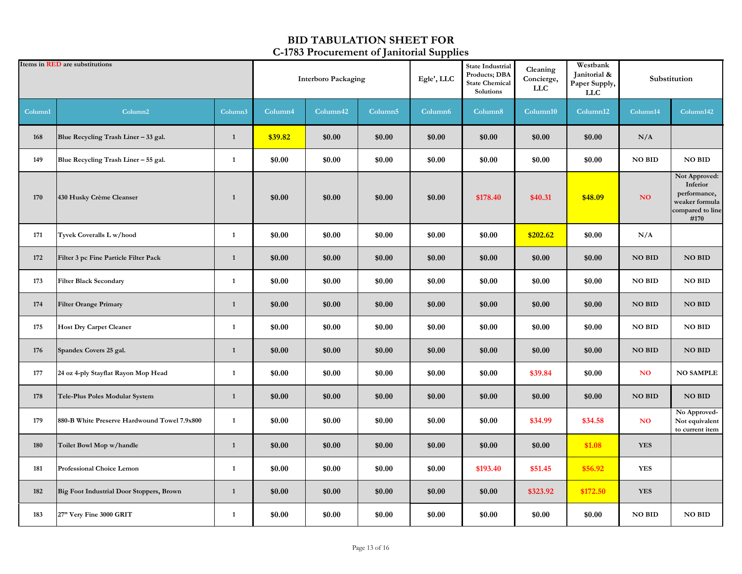| Items in <b>RED</b> are substitutions |                                              |              | <b>Interboro Packaging</b> |          |                     | Egle', LLC          | <b>State Industrial</b><br>Products; DBA<br><b>State Chemical</b><br>Solutions | Cleaning<br>Concierge,<br><b>LLC</b> | Westbank<br>Janitorial &<br>Paper Supply,<br><b>LLC</b> | Substitution  |                                                                                         |
|---------------------------------------|----------------------------------------------|--------------|----------------------------|----------|---------------------|---------------------|--------------------------------------------------------------------------------|--------------------------------------|---------------------------------------------------------|---------------|-----------------------------------------------------------------------------------------|
| Column1                               | Column <sub>2</sub>                          | Column3      | Column <sup>4</sup>        | Column42 | Column <sub>5</sub> | Column <sub>6</sub> | Column8                                                                        | Column10                             | Column12                                                | Column14      | Column142                                                                               |
| 168                                   | Blue Recycling Trash Liner - 33 gal.         | 1            | \$39.82                    | \$0.00   | \$0.00              | \$0.00              | \$0.00                                                                         | \$0.00                               | \$0.00                                                  | N/A           |                                                                                         |
| 149                                   | Blue Recycling Trash Liner - 55 gal.         | $\mathbf{1}$ | \$0.00                     | \$0.00   | \$0.00              | \$0.00              | \$0.00                                                                         | \$0.00                               | \$0.00                                                  | <b>NO BID</b> | <b>NO BID</b>                                                                           |
| 170                                   | 430 Husky Crème Cleanser                     | $\mathbf{1}$ | \$0.00                     | \$0.00   | \$0.00              | \$0.00              | \$178.40                                                                       | \$40.31                              | \$48.09                                                 | NO            | Not Approved:<br>Inferior<br>performance,<br>weaker formula<br>compared to line<br>#170 |
| 171                                   | Tyvek Coveralls L w/hood                     | $\mathbf{1}$ | \$0.00                     | \$0.00   | \$0.00              | \$0.00              | \$0.00                                                                         | \$202.62                             | \$0.00                                                  | N/A           |                                                                                         |
| 172                                   | Filter 3 pc Fine Particle Filter Pack        | $\mathbf{1}$ | \$0.00                     | \$0.00   | \$0.00              | \$0.00              | \$0.00                                                                         | \$0.00                               | \$0.00                                                  | <b>NO BID</b> | <b>NO BID</b>                                                                           |
| 173                                   | <b>Filter Black Secondary</b>                | 1            | \$0.00                     | \$0.00   | \$0.00              | \$0.00              | \$0.00                                                                         | \$0.00                               | \$0.00                                                  | <b>NO BID</b> | <b>NO BID</b>                                                                           |
| 174                                   | <b>Filter Orange Primary</b>                 | $\mathbf{1}$ | \$0.00                     | \$0.00   | \$0.00              | \$0.00              | \$0.00                                                                         | \$0.00                               | \$0.00                                                  | <b>NO BID</b> | <b>NO BID</b>                                                                           |
| 175                                   | <b>Host Dry Carpet Cleaner</b>               | $\mathbf{1}$ | \$0.00                     | \$0.00   | \$0.00              | \$0.00              | \$0.00                                                                         | \$0.00                               | \$0.00                                                  | <b>NO BID</b> | <b>NO BID</b>                                                                           |
| 176                                   | Spandex Covers 25 gal.                       | 1            | \$0.00                     | \$0.00   | \$0.00              | \$0.00              | \$0.00                                                                         | \$0.00                               | \$0.00                                                  | <b>NO BID</b> | <b>NO BID</b>                                                                           |
| 177                                   | 24 oz 4-ply Stayflat Rayon Mop Head          | $\mathbf{1}$ | \$0.00                     | \$0.00   | \$0.00              | \$0.00              | \$0.00                                                                         | \$39.84                              | \$0.00                                                  | <b>NO</b>     | <b>NO SAMPLE</b>                                                                        |
| 178                                   | Tele-Plus Poles Modular System               | $\mathbf{1}$ | \$0.00                     | \$0.00   | \$0.00              | \$0.00              | \$0.00                                                                         | \$0.00                               | \$0.00                                                  | <b>NO BID</b> | <b>NO BID</b>                                                                           |
| 179                                   | 880-B White Preserve Hardwound Towel 7.9x800 | $\mathbf{1}$ | \$0.00                     | \$0.00   | \$0.00              | \$0.00              | \$0.00                                                                         | \$34.99                              | \$34.58                                                 | <b>NO</b>     | No Approved-<br>Not equivalent<br>to current item                                       |
| 180                                   | Toilet Bowl Mop w/handle                     | $\mathbf{1}$ | \$0.00                     | \$0.00   | \$0.00              | \$0.00              | \$0.00                                                                         | \$0.00                               | \$1.08                                                  | <b>YES</b>    |                                                                                         |
| 181                                   | Professional Choice Lemon                    | $\mathbf{1}$ | \$0.00                     | \$0.00   | \$0.00              | \$0.00              | \$193.40                                                                       | \$51.45                              | \$56.92                                                 | <b>YES</b>    |                                                                                         |
| 182                                   | Big Foot Industrial Door Stoppers, Brown     | 1            | \$0.00                     | \$0.00   | \$0.00              | \$0.00              | \$0.00                                                                         | \$323.92                             | \$172.50                                                | <b>YES</b>    |                                                                                         |
| 183                                   | 27" Very Fine 3000 GRIT                      | $\mathbf{1}$ | \$0.00                     | \$0.00   | \$0.00              | \$0.00              | \$0.00                                                                         | \$0.00                               | \$0.00                                                  | <b>NO BID</b> | <b>NO BID</b>                                                                           |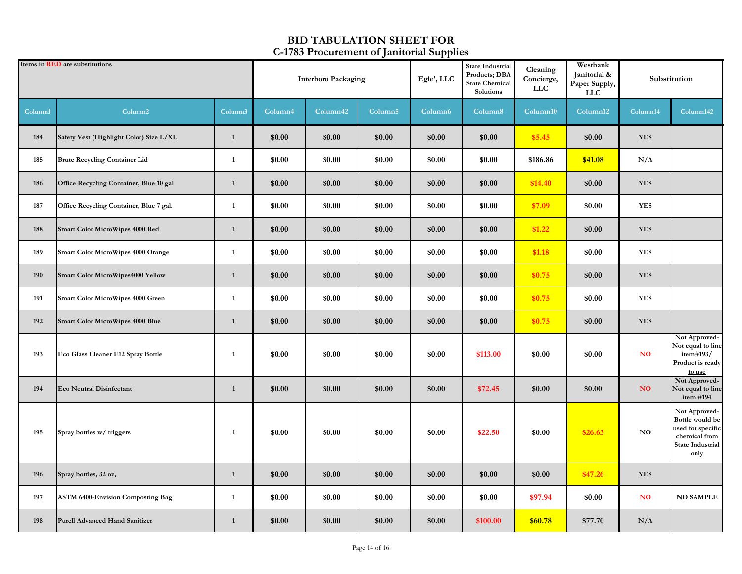| Items in <b>RED</b> are substitutions |                                           |              | <b>Interboro Packaging</b> |          |                     | <u>. .</u><br>Egle', LLC | <b>State Industrial</b><br>Products; DBA<br><b>State Chemical</b><br>Solutions | Cleaning<br>Concierge,<br><b>LLC</b> | Westbank<br>Janitorial &<br>Paper Supply,<br><b>LLC</b> | Substitution   |                                                                                                           |
|---------------------------------------|-------------------------------------------|--------------|----------------------------|----------|---------------------|--------------------------|--------------------------------------------------------------------------------|--------------------------------------|---------------------------------------------------------|----------------|-----------------------------------------------------------------------------------------------------------|
| Column1                               | Column <sub>2</sub>                       | Column3      | Column <sub>4</sub>        | Column42 | Column <sub>5</sub> | Column <sub>6</sub>      | Column8                                                                        | Column10                             | Column12                                                | Column14       | Column142                                                                                                 |
| 184                                   | Safety Vest (Highlight Color) Size L/XL   | $\mathbf{1}$ | \$0.00                     | \$0.00   | \$0.00              | \$0.00                   | \$0.00                                                                         | \$5.45                               | \$0.00                                                  | <b>YES</b>     |                                                                                                           |
| 185                                   | <b>Brute Recycling Container Lid</b>      | 1            | \$0.00                     | \$0.00   | \$0.00              | \$0.00                   | \$0.00                                                                         | \$186.86                             | \$41.08                                                 | N/A            |                                                                                                           |
| 186                                   | Office Recycling Container, Blue 10 gal   | $\mathbf{1}$ | \$0.00                     | \$0.00   | \$0.00              | \$0.00                   | \$0.00                                                                         | \$14.40                              | \$0.00                                                  | <b>YES</b>     |                                                                                                           |
| 187                                   | Office Recycling Container, Blue 7 gal.   | $\mathbf{1}$ | \$0.00                     | \$0.00   | \$0.00              | \$0.00                   | \$0.00                                                                         | \$7.09                               | \$0.00                                                  | <b>YES</b>     |                                                                                                           |
| 188                                   | <b>Smart Color MicroWipes 4000 Red</b>    | $\mathbf{1}$ | \$0.00                     | \$0.00   | \$0.00              | \$0.00                   | \$0.00                                                                         | \$1.22                               | \$0.00                                                  | <b>YES</b>     |                                                                                                           |
| 189                                   | <b>Smart Color MicroWipes 4000 Orange</b> | 1            | \$0.00                     | \$0.00   | \$0.00              | \$0.00                   | \$0.00                                                                         | \$1.18                               | \$0.00                                                  | <b>YES</b>     |                                                                                                           |
| 190                                   | <b>Smart Color MicroWipes4000 Yellow</b>  | $\mathbf{1}$ | \$0.00                     | \$0.00   | \$0.00              | \$0.00                   | \$0.00                                                                         | \$0.75                               | \$0.00                                                  | <b>YES</b>     |                                                                                                           |
| 191                                   | <b>Smart Color MicroWipes 4000 Green</b>  | $\mathbf{1}$ | \$0.00                     | \$0.00   | \$0.00              | \$0.00                   | \$0.00                                                                         | \$0.75                               | \$0.00                                                  | <b>YES</b>     |                                                                                                           |
| 192                                   | <b>Smart Color MicroWipes 4000 Blue</b>   | $\mathbf{1}$ | \$0.00                     | \$0.00   | \$0.00              | \$0.00                   | \$0.00                                                                         | \$0.75                               | \$0.00                                                  | <b>YES</b>     |                                                                                                           |
| 193                                   | Eco Glass Cleaner E12 Spray Bottle        | $\mathbf{1}$ | \$0.00                     | \$0.00   | \$0.00              | \$0.00                   | \$113.00                                                                       | \$0.00                               | \$0.00                                                  | N <sub>O</sub> | Not Approved-<br>Not equal to line<br>item#193/<br>Product is ready<br>to use                             |
| 194                                   | <b>Eco Neutral Disinfectant</b>           | $\mathbf{1}$ | \$0.00                     | \$0.00   | \$0.00              | \$0.00                   | \$72.45                                                                        | \$0.00                               | \$0.00                                                  | NO             | Not Approved-<br>Not equal to line<br>item #194                                                           |
| 195                                   | Spray bottles w/ triggers                 | 1            | \$0.00                     | \$0.00   | \$0.00              | \$0.00                   | \$22.50                                                                        | \$0.00                               | \$26.63                                                 | NO             | Not Approved-<br>Bottle would be<br>used for specific<br>chemical from<br><b>State Industrial</b><br>only |
| 196                                   | Spray bottles, 32 oz,                     | $\mathbf{1}$ | \$0.00                     | \$0.00   | \$0.00              | \$0.00                   | \$0.00                                                                         | \$0.00                               | \$47.26                                                 | <b>YES</b>     |                                                                                                           |
| 197                                   | <b>ASTM 6400-Envision Composting Bag</b>  | $\mathbf{1}$ | \$0.00                     | \$0.00   | \$0.00              | \$0.00                   | \$0.00                                                                         | \$97.94                              | \$0.00                                                  | <b>NO</b>      | <b>NO SAMPLE</b>                                                                                          |
| 198                                   | <b>Purell Advanced Hand Sanitizer</b>     | $\mathbf{1}$ | \$0.00                     | \$0.00   | \$0.00              | \$0.00                   | \$100.00                                                                       | \$60.78                              | \$77.70                                                 | N/A            |                                                                                                           |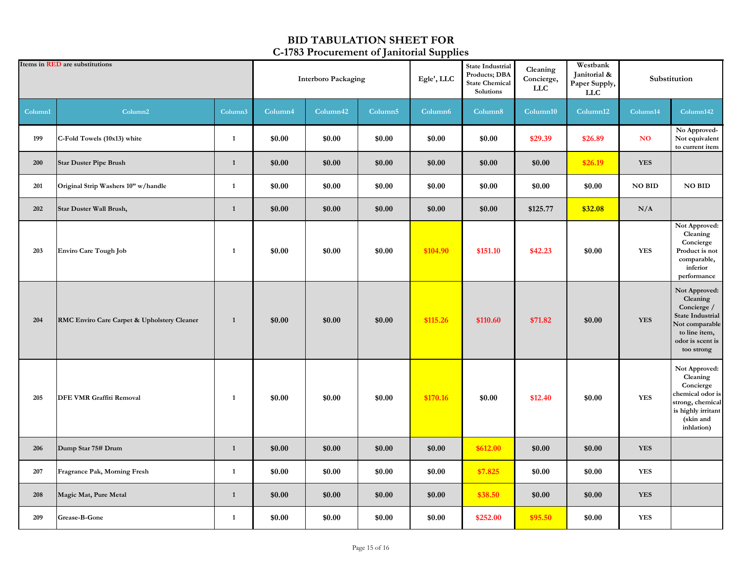| Items in <b>RED</b> are substitutions |                                             |                     | <b>Interboro Packaging</b> |          |                     | Egle', LLC          | <b>State Industrial</b><br>Products; DBA<br><b>State Chemical</b><br>Solutions | Cleaning<br>Concierge,<br><b>LLC</b> | Westbank<br>Janitorial &<br>Paper Supply,<br><b>LLC</b> | Substitution |                                                                                                                                          |
|---------------------------------------|---------------------------------------------|---------------------|----------------------------|----------|---------------------|---------------------|--------------------------------------------------------------------------------|--------------------------------------|---------------------------------------------------------|--------------|------------------------------------------------------------------------------------------------------------------------------------------|
| Column1                               | Column <sub>2</sub>                         | Column <sub>3</sub> | Column4                    | Column42 | Column <sub>5</sub> | Column <sub>6</sub> | Column8                                                                        | Column10                             | Column <sub>12</sub>                                    | Column14     | Column142                                                                                                                                |
| 199                                   | C-Fold Towels (10x13) white                 | $\mathbf{1}$        | \$0.00                     | \$0.00   | \$0.00              | \$0.00              | \$0.00                                                                         | \$29.39                              | \$26.89                                                 | <b>NO</b>    | No Approved-<br>Not equivalent<br>to current item                                                                                        |
| 200                                   | <b>Star Duster Pipe Brush</b>               | 1                   | \$0.00                     | \$0.00   | \$0.00              | \$0.00              | \$0.00                                                                         | \$0.00                               | \$26.19                                                 | <b>YES</b>   |                                                                                                                                          |
| 201                                   | Original Strip Washers 10" w/handle         | $\mathbf{1}$        | \$0.00                     | \$0.00   | \$0.00              | \$0.00              | \$0.00                                                                         | \$0.00                               | \$0.00                                                  | NO BID       | <b>NO BID</b>                                                                                                                            |
| 202                                   | Star Duster Wall Brush,                     | $\mathbf{1}$        | \$0.00                     | \$0.00   | \$0.00              | \$0.00              | \$0.00                                                                         | \$125.77                             | \$32.08                                                 | N/A          |                                                                                                                                          |
| 203                                   | Enviro Care Tough Job                       | -1                  | \$0.00                     | \$0.00   | \$0.00              | \$104.90            | \$151.10                                                                       | \$42.23                              | \$0.00                                                  | <b>YES</b>   | Not Approved:<br>Cleaning<br>Concierge<br>Product is not<br>comparable,<br>inferior<br>performance                                       |
| 204                                   | RMC Enviro Care Carpet & Upholstery Cleaner | 1                   | \$0.00                     | \$0.00   | \$0.00              | \$115.26            | \$110.60                                                                       | \$71.82                              | \$0.00                                                  | <b>YES</b>   | Not Approved:<br>Cleaning<br>Concierge /<br><b>State Industrial</b><br>Not comparable<br>to line item,<br>odor is scent is<br>too strong |
| 205                                   | <b>DFE VMR Graffiti Removal</b>             | 1                   | \$0.00                     | \$0.00   | \$0.00              | \$170.16            | \$0.00                                                                         | \$12.40                              | \$0.00                                                  | <b>YES</b>   | Not Approved:<br>Cleaning<br>Concierge<br>chemical odor is<br>strong, chemical<br>is highly irritant<br>(skin and<br>inhlation)          |
| 206                                   | Dump Star 75# Drum                          | $\mathbf{1}$        | \$0.00                     | \$0.00   | \$0.00              | \$0.00              | \$612.00                                                                       | \$0.00                               | \$0.00                                                  | <b>YES</b>   |                                                                                                                                          |
| 207                                   | Fragrance Pak, Morning Fresh                | 1                   | \$0.00                     | \$0.00   | \$0.00              | \$0.00              | \$7.825                                                                        | \$0.00                               | \$0.00                                                  | <b>YES</b>   |                                                                                                                                          |
| 208                                   | Magic Mat, Pure Metal                       | 1                   | \$0.00                     | \$0.00   | \$0.00              | \$0.00              | \$38.50                                                                        | \$0.00                               | \$0.00                                                  | <b>YES</b>   |                                                                                                                                          |
| 209                                   | Grease-B-Gone                               | $\mathbf{1}$        | \$0.00                     | \$0.00   | \$0.00              | \$0.00              | \$252.00                                                                       | \$95.50                              | \$0.00                                                  | <b>YES</b>   |                                                                                                                                          |